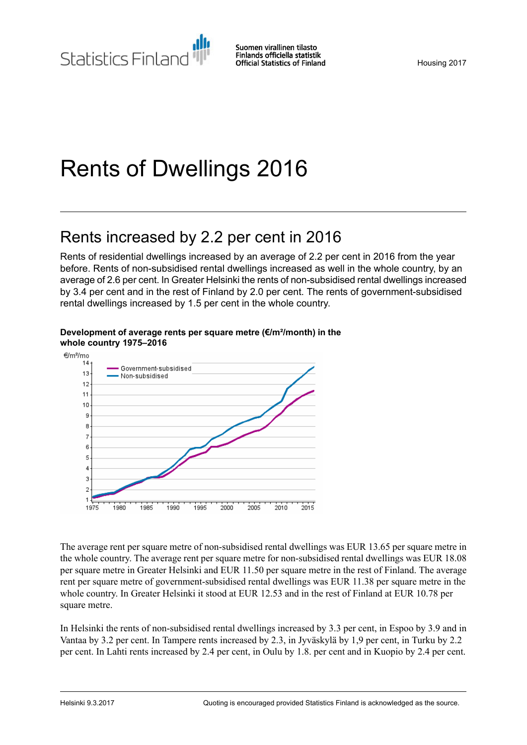# Rents of Dwellings 2016

## Rents increased by 2.2 per cent in 2016

Rents of residential dwellings increased by an average of 2.2 per cent in 2016 from the year before. Rents of non-subsidised rental dwellings increased as well in the whole country, by an average of 2.6 per cent. In Greater Helsinki the rents of non-subsidised rental dwellings increased by 3.4 per cent and in the rest of Finland by 2.0 per cent. The rents of government-subsidised rental dwellings increased by 1.5 per cent in the whole country.



#### **Development of average rents per square metre (€/m²/month) in the whole country 1975–2016**

The average rent per square metre of non-subsidised rental dwellings was EUR 13.65 per square metre in the whole country. The average rent per square metre for non-subsidised rental dwellings was EUR 18.08 per square metre in Greater Helsinki and EUR 11.50 per square metre in the rest of Finland. The average rent per square metre of government-subsidised rental dwellings was EUR 11.38 per square metre in the whole country. In Greater Helsinki it stood at EUR 12.53 and in the rest of Finland at EUR 10.78 per square metre.

In Helsinki the rents of non-subsidised rental dwellings increased by 3.3 per cent, in Espoo by 3.9 and in Vantaa by 3.2 per cent. In Tampere rents increased by 2.3, in Jyväskylä by 1,9 per cent, in Turku by 2.2 per cent. In Lahti rents increased by 2.4 per cent, in Oulu by 1.8. per cent and in Kuopio by 2.4 per cent.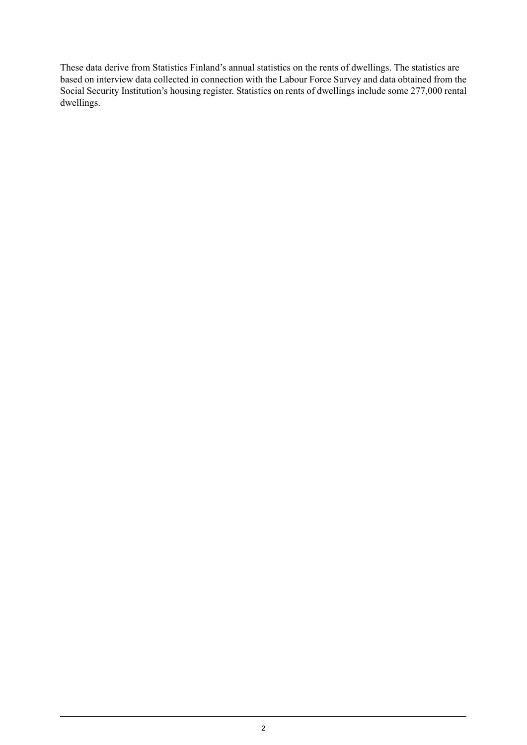These data derive from Statistics Finland's annual statistics on the rents of dwellings. The statistics are based on interview data collected in connection with the Labour Force Survey and data obtained from the Social Security Institution's housing register. Statistics on rents of dwellings include some 277,000 rental dwellings.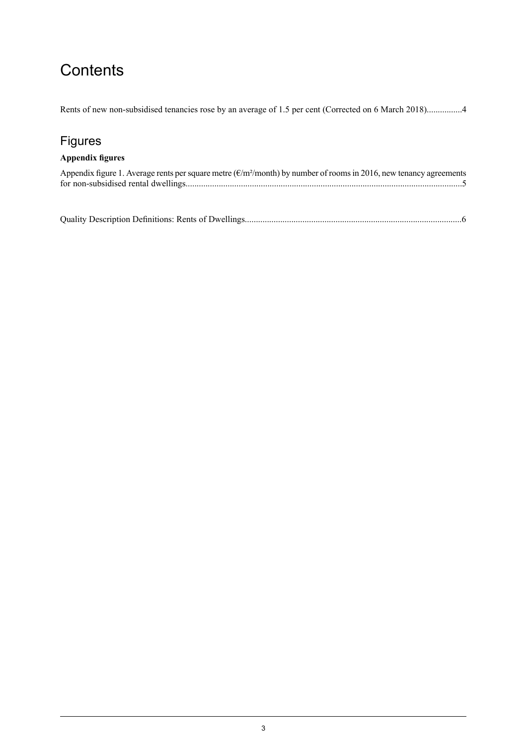## **Contents**

Rents of new non-subsidised tenancies rose by an average of 1.5 per cent (Corrected on 6 March [2018\)................4](#page-3-0)

## Figures

#### **Appendix figures**

| Appendix figure 1. Average rents per square metre ( $\epsilon/m^2$ /month) by number of rooms in 2016, new tenancy agreements |  |
|-------------------------------------------------------------------------------------------------------------------------------|--|
|                                                                                                                               |  |

Quality Description Definitions: Rents of [Dwellings..................................................................................................6](#page-5-0)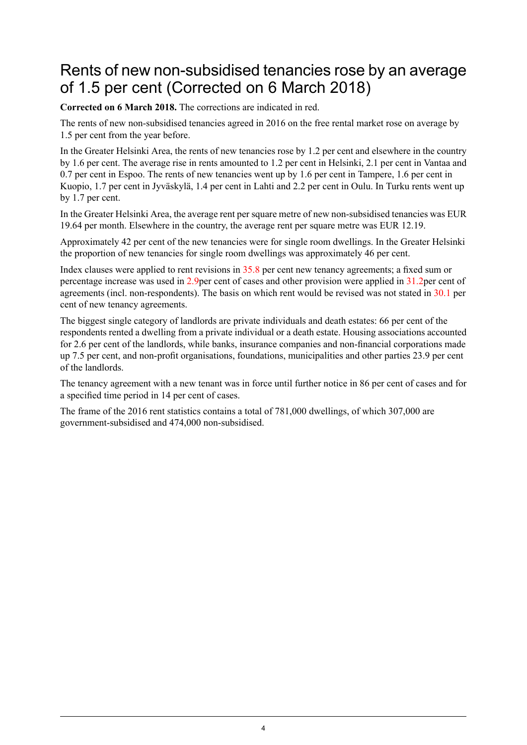## <span id="page-3-0"></span>Rents of new non-subsidised tenancies rose by an average of 1.5 per cent (Corrected on 6 March 2018)

**Corrected on 6 March 2018.** The corrections are indicated in red.

The rents of new non-subsidised tenancies agreed in 2016 on the free rental market rose on average by 1.5 per cent from the year before.

In the Greater Helsinki Area, the rents of new tenancies rose by 1.2 per cent and elsewhere in the country by 1.6 per cent. The average rise in rents amounted to 1.2 per cent in Helsinki, 2.1 per cent in Vantaa and 0.7 per cent in Espoo. The rents of new tenancies went up by 1.6 per cent in Tampere, 1.6 per cent in Kuopio, 1.7 per cent in Jyväskylä, 1.4 per cent in Lahti and 2.2 per cent in Oulu. In Turku rents went up by 1.7 per cent.

In the Greater Helsinki Area, the average rent per square metre of new non-subsidised tenancies was EUR 19.64 per month. Elsewhere in the country, the average rent per square metre was EUR 12.19.

Approximately 42 per cent of the new tenancies were for single room dwellings. In the Greater Helsinki the proportion of new tenancies for single room dwellings was approximately 46 per cent.

Index clauses were applied to rent revisions in 35.8 per cent new tenancy agreements; a fixed sum or percentage increase was used in 2.9per cent of cases and other provision were applied in 31.2per cent of agreements (incl. non-respondents). The basis on which rent would be revised was not stated in 30.1 per cent of new tenancy agreements.

The biggest single category of landlords are private individuals and death estates: 66 per cent of the respondents rented a dwelling from a private individual or a death estate. Housing associations accounted for 2.6 per cent of the landlords, while banks, insurance companies and non-financial corporations made up 7.5 per cent, and non-profit organisations, foundations, municipalities and other parties 23.9 per cent of the landlords.

The tenancy agreement with a new tenant was in force until further notice in 86 per cent of cases and for a specified time period in 14 per cent of cases.

The frame of the 2016 rent statistics contains a total of 781,000 dwellings, of which 307,000 are government-subsidised and 474,000 non-subsidised.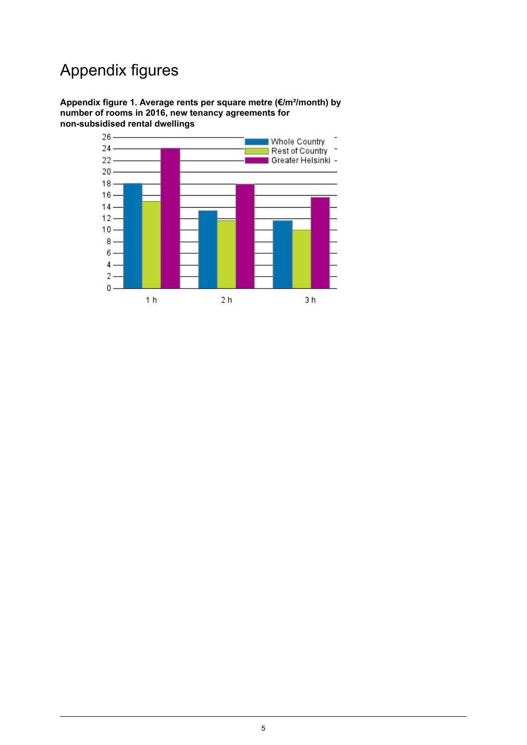## Appendix figures

<span id="page-4-0"></span>**Appendix figure 1. Average rents per square metre (€/m²/month) by number of rooms in 2016, new tenancy agreements for non-subsidised rental dwellings**

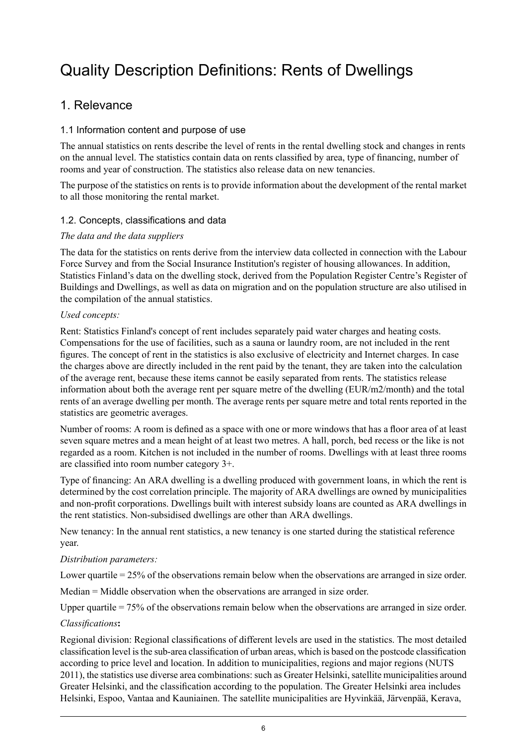## <span id="page-5-0"></span>Quality Description Definitions: Rents of Dwellings

### 1. Relevance

#### 1.1 Information content and purpose of use

The annual statistics on rents describe the level of rents in the rental dwelling stock and changes in rents on the annual level. The statistics contain data on rents classified by area, type of financing, number of rooms and year of construction. The statistics also release data on new tenancies.

The purpose of the statistics on rents is to provide information about the development of the rental market to all those monitoring the rental market.

#### 1.2. Concepts, classifications and data

#### *The data and the data suppliers*

The data for the statistics on rents derive from the interview data collected in connection with the Labour Force Survey and from the Social Insurance Institution's register of housing allowances. In addition, Statistics Finland's data on the dwelling stock, derived from the Population Register Centre's Register of Buildings and Dwellings, as well as data on migration and on the population structure are also utilised in the compilation of the annual statistics.

#### *Used concepts:*

Rent: Statistics Finland's concept of rent includes separately paid water charges and heating costs. Compensations for the use of facilities, such as a sauna or laundry room, are not included in the rent figures. The concept of rent in the statistics is also exclusive of electricity and Internet charges. In case the charges above are directly included in the rent paid by the tenant, they are taken into the calculation of the average rent, because these items cannot be easily separated from rents. The statistics release information about both the average rent per square metre of the dwelling (EUR/m2/month) and the total rents of an average dwelling per month. The average rents per square metre and total rents reported in the statistics are geometric averages.

Number of rooms: A room is defined as a space with one or more windows that has a floor area of at least seven square metres and a mean height of at least two metres. A hall, porch, bed recess or the like is not regarded as a room. Kitchen is not included in the number of rooms. Dwellings with at least three rooms are classified into room number category 3+.

Type of financing: An ARA dwelling is a dwelling produced with government loans, in which the rent is determined by the cost correlation principle. The majority of ARA dwellings are owned by municipalities and non-profit corporations. Dwellings built with interest subsidy loans are counted as ARA dwellings in the rent statistics. Non-subsidised dwellings are other than ARA dwellings.

New tenancy: In the annual rent statistics, a new tenancy is one started during the statistical reference year.

#### *Distribution parameters:*

Lower quartile = 25% of the observations remain below when the observations are arranged in size order.

Median = Middle observation when the observations are arranged in size order.

Upper quartile = 75% of the observations remain below when the observations are arranged in size order.

#### *Classifications***:**

Regional division: Regional classifications of different levels are used in the statistics. The most detailed classification level isthe sub-area classification of urban areas, which is based on the postcode classification according to price level and location. In addition to municipalities, regions and major regions (NUTS 2011), the statistics use diverse area combinations: such as Greater Helsinki, satellite municipalities around Greater Helsinki, and the classification according to the population. The Greater Helsinki area includes Helsinki, Espoo, Vantaa and Kauniainen. The satellite municipalities are Hyvinkää, Järvenpää, Kerava,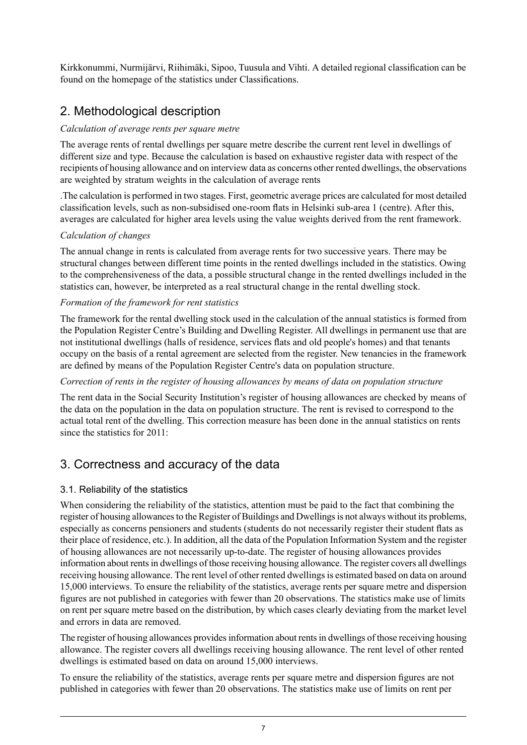Kirkkonummi, Nurmijärvi, Riihimäki, Sipoo, Tuusula and Vihti. A detailed regional classification can be found on the homepage of the statistics under Classifications.

## 2. Methodological description

#### *Calculation of average rents per square metre*

The average rents of rental dwellings per square metre describe the current rent level in dwellings of different size and type. Because the calculation is based on exhaustive register data with respect of the recipients of housing allowance and on interview data as concerns other rented dwellings, the observations are weighted by stratum weights in the calculation of average rents

.The calculation is performed in two stages. First, geometric average prices are calculated for most detailed classification levels, such as non-subsidised one-room flats in Helsinki sub-area 1 (centre). After this, averages are calculated for higher area levels using the value weights derived from the rent framework.

#### *Calculation of changes*

The annual change in rents is calculated from average rents for two successive years. There may be structural changes between different time points in the rented dwellings included in the statistics. Owing to the comprehensiveness of the data, a possible structural change in the rented dwellings included in the statistics can, however, be interpreted as a real structural change in the rental dwelling stock.

#### *Formation of the framework for rent statistics*

The framework for the rental dwelling stock used in the calculation of the annual statistics is formed from the Population Register Centre's Building and Dwelling Register. All dwellings in permanent use that are not institutional dwellings (halls of residence, services flats and old people's homes) and that tenants occupy on the basis of a rental agreement are selected from the register. New tenancies in the framework are defined by means of the Population Register Centre's data on population structure.

#### *Correction of rents in the register of housing allowances by means of data on population structure*

The rent data in the Social Security Institution's register of housing allowances are checked by means of the data on the population in the data on population structure. The rent is revised to correspond to the actual total rent of the dwelling. This correction measure has been done in the annual statistics on rents since the statistics for 2011.

### 3. Correctness and accuracy of the data

#### 3.1. Reliability of the statistics

When considering the reliability of the statistics, attention must be paid to the fact that combining the register of housing allowances to the Register of Buildings and Dwellings is not always without its problems, especially as concerns pensioners and students (students do not necessarily register their student flats as their place of residence, etc.). In addition, all the data of the Population Information System and the register of housing allowances are not necessarily up-to-date. The register of housing allowances provides information about rents in dwellings of those receiving housing allowance. The register covers all dwellings receiving housing allowance. The rent level of other rented dwellings is estimated based on data on around 15,000 interviews. To ensure the reliability of the statistics, average rents per square metre and dispersion figures are not published in categories with fewer than 20 observations. The statistics make use of limits on rent per square metre based on the distribution, by which cases clearly deviating from the market level and errors in data are removed.

The register of housing allowances provides information about rents in dwellings of those receiving housing allowance. The register covers all dwellings receiving housing allowance. The rent level of other rented dwellings is estimated based on data on around 15,000 interviews.

To ensure the reliability of the statistics, average rents per square metre and dispersion figures are not published in categories with fewer than 20 observations. The statistics make use of limits on rent per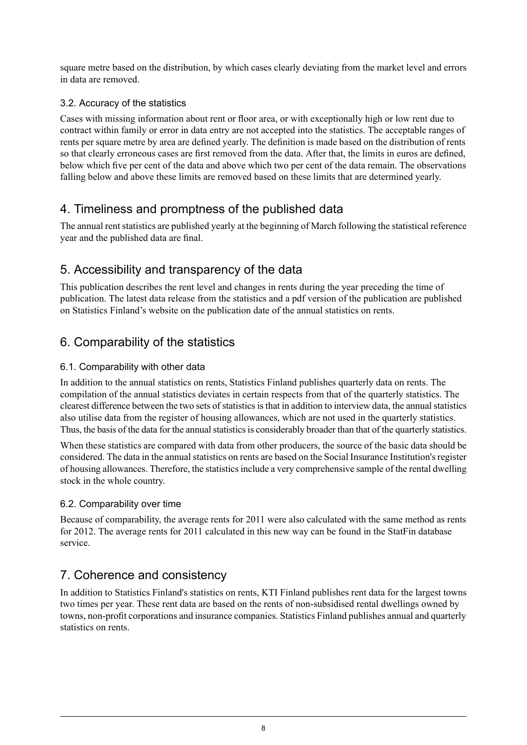square metre based on the distribution, by which cases clearly deviating from the market level and errors in data are removed.

#### 3.2. Accuracy of the statistics

Cases with missing information about rent or floor area, or with exceptionally high or low rent due to contract within family or error in data entry are not accepted into the statistics. The acceptable ranges of rents per square metre by area are defined yearly. The definition is made based on the distribution of rents so that clearly erroneous cases are first removed from the data. After that, the limits in euros are defined, below which five per cent of the data and above which two per cent of the data remain. The observations falling below and above these limits are removed based on these limits that are determined yearly.

### 4. Timeliness and promptness of the published data

The annual rent statistics are published yearly at the beginning of March following the statistical reference year and the published data are final.

### 5. Accessibility and transparency of the data

This publication describes the rent level and changes in rents during the year preceding the time of publication. The latest data release from the statistics and a pdf version of the publication are published on Statistics Finland's website on the publication date of the annual statistics on rents.

### 6. Comparability of the statistics

#### 6.1. Comparability with other data

In addition to the annual statistics on rents, Statistics Finland publishes quarterly data on rents. The compilation of the annual statistics deviates in certain respects from that of the quarterly statistics. The clearest difference between the two sets of statistics is that in addition to interview data, the annual statistics also utilise data from the register of housing allowances, which are not used in the quarterly statistics. Thus, the basis of the data for the annual statistics is considerably broader than that of the quarterly statistics.

When these statistics are compared with data from other producers, the source of the basic data should be considered. The data in the annual statistics on rents are based on the Social Insurance Institution's register of housing allowances. Therefore, the statisticsinclude a very comprehensive sample of the rental dwelling stock in the whole country.

#### 6.2. Comparability over time

Because of comparability, the average rents for 2011 were also calculated with the same method as rents for 2012. The average rents for 2011 calculated in this new way can be found in the StatFin database service.

## 7. Coherence and consistency

In addition to Statistics Finland's statistics on rents, KTI Finland publishes rent data for the largest towns two times per year. These rent data are based on the rents of non-subsidised rental dwellings owned by towns, non-profit corporations and insurance companies. Statistics Finland publishes annual and quarterly statistics on rents.